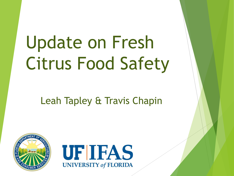# Update on Fresh Citrus Food Safety

#### Leah Tapley & Travis Chapin



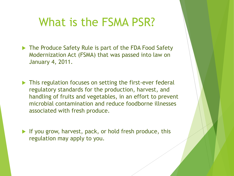#### What is the FSMA PSR?

- The Produce Safety Rule is part of the FDA Food Safety Modernization Act (FSMA) that was passed into law on January 4, 2011.
- This regulation focuses on setting the first-ever federal regulatory standards for the production, harvest, and handling of fruits and vegetables, in an effort to prevent microbial contamination and reduce foodborne illnesses associated with fresh produce.
- If you grow, harvest, pack, or hold fresh produce, this regulation may apply to you.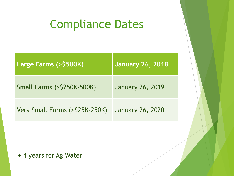## Compliance Dates

| <b>Large Farms (&gt;\$500K)</b>      | <b>January 26, 2018</b> |
|--------------------------------------|-------------------------|
| <b>Small Farms (&gt;\$250K-500K)</b> | <b>January 26, 2019</b> |
| Very Small Farms (>\$25K-250K)       | <b>January 26, 2020</b> |

+ 4 years for Ag Water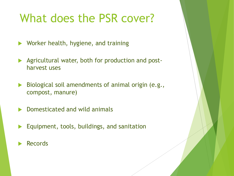#### What does the PSR cover?

▶ Worker health, hygiene, and training

- Agricultural water, both for production and postharvest uses
- $\triangleright$  Biological soil amendments of animal origin (e.g., compost, manure)
- Domesticated and wild animals
- Equipment, tools, buildings, and sanitation
- Records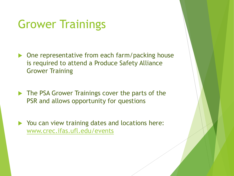#### Grower Trainings

- ▶ One representative from each farm/packing house is required to attend a Produce Safety Alliance Grower Training
- The PSA Grower Trainings cover the parts of the PSR and allows opportunity for questions
- ▶ You can view training dates and locations here: [www.crec.ifas.ufl.edu/events](http://www.crec.ifas.ufl.edu/events)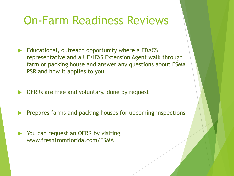#### On-Farm Readiness Reviews

- Educational, outreach opportunity where a FDACS representative and a UF/IFAS Extension Agent walk through farm or packing house and answer any questions about FSMA PSR and how it applies to you
- OFRRs are free and voluntary, done by request
- Prepares farms and packing houses for upcoming inspections
- You can request an OFRR by visiting www.freshfromflorida.com/FSMA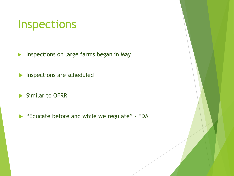#### Inspections

**Inspections on large farms began in May** 

**Inspections are scheduled** 

Similar to OFRR

**Educate before and while we regulate" - FDA**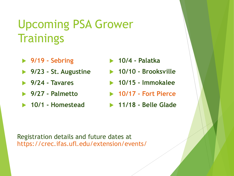## Upcoming PSA Grower **Trainings**

- **9/19 - Sebring**
- **9/23 - St. Augustine**
- **9/24 - Tavares**
- **9/27 - Palmetto**
- **10/1 - Homestead**
- **10/4 - Palatka**
- **10/10 - Brooksville**
- **10/15 - Immokalee**
- **10/17 - Fort Pierce**
- **11/18 - Belle Glade**

#### Registration details and future dates at https://crec.ifas.ufl.edu/extension/events/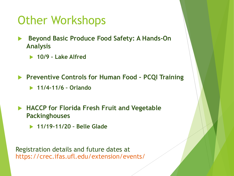#### Other Workshops

- **Beyond Basic Produce Food Safety: A Hands-On Analysis**
	- **10/9 – Lake Alfred**

**Preventive Controls for Human Food – PCQI Training**

**11/4-11/6 – Orlando**

- **HACCP for Florida Fresh Fruit and Vegetable Packinghouses**
	- **11/19-11/20 – Belle Glade**

Registration details and future dates at https://crec.ifas.ufl.edu/extension/events/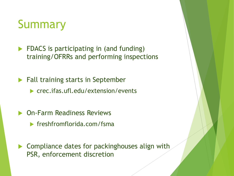#### Summary

- **FIDACS** is participating in (and funding) training/OFRRs and performing inspections
- **Fall training starts in September** 
	- ▶ crec.ifas.ufl.edu/extension/events
- **Den-Farm Readiness Reviews** 
	- $\blacktriangleright$  freshfromflorida.com/fsma
- Compliance dates for packinghouses align with PSR, enforcement discretion